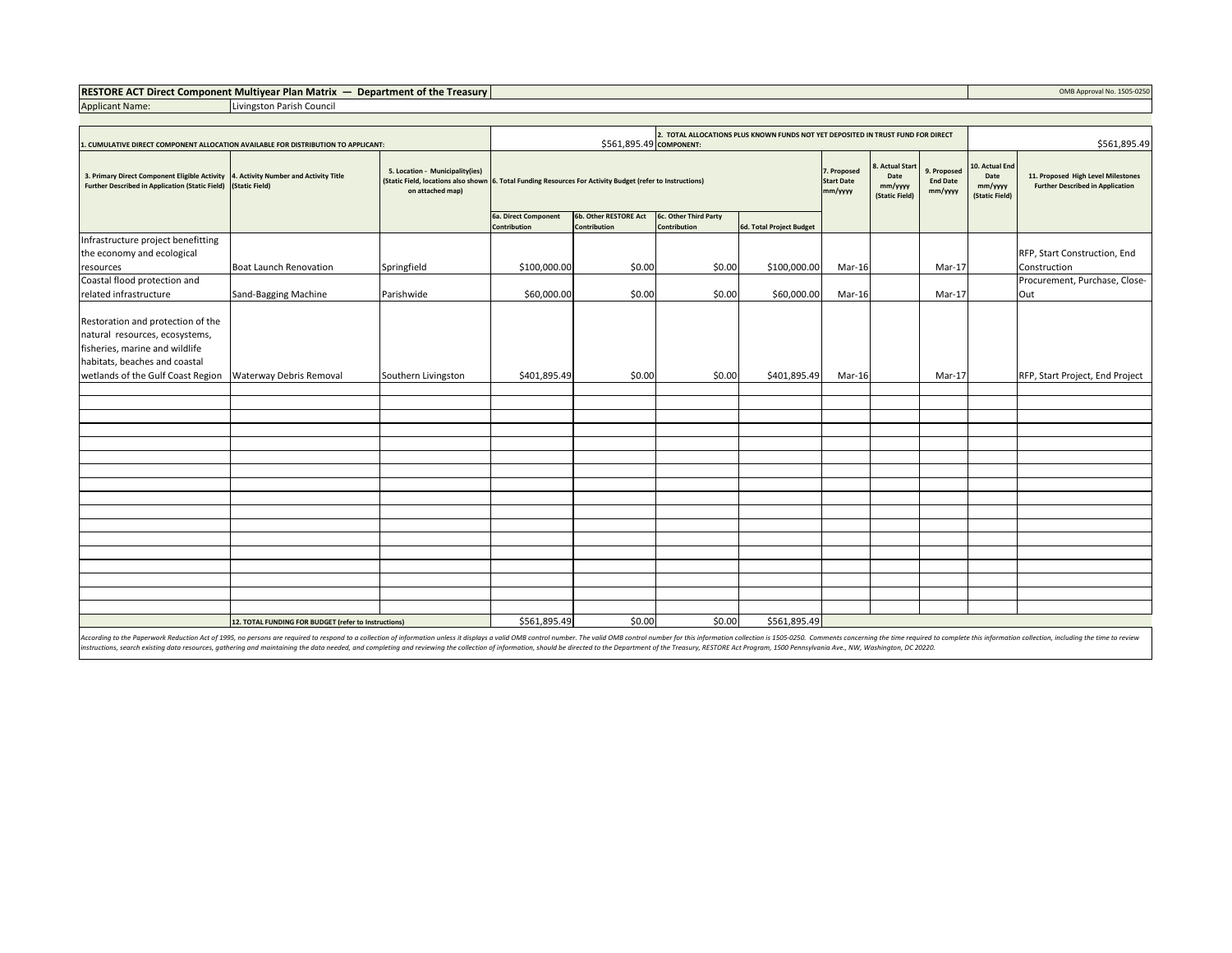## **RESTORE ACT Direct Component Multiyear Plan Matrix — Department of the Treasury Department of the Treasury COMB Approval No. 1505-0250**

Applicant Name: Livingston Parish Council

| 1. CUMULATIVE DIRECT COMPONENT ALLOCATION AVAILABLE FOR DISTRIBUTION TO APPLICANT:                                                                                          |                               |                                                                                            | 2. TOTAL ALLOCATIONS PLUS KNOWN FUNDS NOT YET DEPOSITED IN TRUST FUND FOR DIRECT<br>\$561,895.49 COMPONENT:                                                                                                     |                                       |                                       |                          |        |  | \$561,895.49 |                                                     |                                                                               |
|-----------------------------------------------------------------------------------------------------------------------------------------------------------------------------|-------------------------------|--------------------------------------------------------------------------------------------|-----------------------------------------------------------------------------------------------------------------------------------------------------------------------------------------------------------------|---------------------------------------|---------------------------------------|--------------------------|--------|--|--------------|-----------------------------------------------------|-------------------------------------------------------------------------------|
| 3. Primary Direct Component Eligible Activity 4. Activity Number and Activity Title<br>Further Described in Application (Static Field) (Static Field)                       |                               | 5. Location - Municipality(ies)<br>(Static Field, locations also shown<br>on attached map) | <b>Actual Start</b><br>7. Proposed<br>Date<br>6. Total Funding Resources For Activity Budget (refer to Instructions)<br><b>Start Date</b><br><b>End Date</b><br>mm/yyyy<br>mm/yyyy<br>mm/yyyy<br>(Static Field) |                                       |                                       |                          |        |  | 9. Proposed  | 10. Actual End<br>Date<br>mm/yyyy<br>(Static Field) | 11. Proposed High Level Milestones<br><b>Further Described in Application</b> |
|                                                                                                                                                                             |                               |                                                                                            | 6a. Direct Component<br>Contribution                                                                                                                                                                            | 6b. Other RESTORE Act<br>Contribution | 6c. Other Third Party<br>Contribution | 6d. Total Project Budget |        |  |              |                                                     |                                                                               |
| Infrastructure project benefitting                                                                                                                                          |                               |                                                                                            |                                                                                                                                                                                                                 |                                       |                                       |                          |        |  |              |                                                     |                                                                               |
| the economy and ecological                                                                                                                                                  | <b>Boat Launch Renovation</b> |                                                                                            | \$100,000.00                                                                                                                                                                                                    | \$0.00                                | \$0.00                                | \$100,000.00             |        |  |              |                                                     | RFP, Start Construction, End                                                  |
| resources<br>Coastal flood protection and                                                                                                                                   |                               | Springfield                                                                                |                                                                                                                                                                                                                 |                                       |                                       |                          | Mar-16 |  | Mar-17       |                                                     | Construction<br>Procurement, Purchase, Close-                                 |
| related infrastructure                                                                                                                                                      | Sand-Bagging Machine          | Parishwide                                                                                 | \$60,000.00                                                                                                                                                                                                     | \$0.00                                | \$0.00                                | \$60,000.00              | Mar-16 |  | Mar-17       |                                                     | Out                                                                           |
| Restoration and protection of the<br>natural resources, ecosystems,<br>fisheries, marine and wildlife<br>habitats, beaches and coastal<br>wetlands of the Gulf Coast Region |                               |                                                                                            | \$401,895.49                                                                                                                                                                                                    | \$0.00                                | \$0.00                                | \$401,895.49             |        |  |              |                                                     |                                                                               |
|                                                                                                                                                                             | Waterway Debris Removal       | Southern Livingston                                                                        |                                                                                                                                                                                                                 |                                       |                                       |                          | Mar-16 |  | Mar-17       |                                                     | RFP, Start Project, End Project                                               |
|                                                                                                                                                                             |                               |                                                                                            |                                                                                                                                                                                                                 |                                       |                                       |                          |        |  |              |                                                     |                                                                               |
|                                                                                                                                                                             |                               |                                                                                            |                                                                                                                                                                                                                 |                                       |                                       |                          |        |  |              |                                                     |                                                                               |
|                                                                                                                                                                             |                               |                                                                                            |                                                                                                                                                                                                                 |                                       |                                       |                          |        |  |              |                                                     |                                                                               |
|                                                                                                                                                                             |                               |                                                                                            |                                                                                                                                                                                                                 |                                       |                                       |                          |        |  |              |                                                     |                                                                               |
|                                                                                                                                                                             |                               |                                                                                            |                                                                                                                                                                                                                 |                                       |                                       |                          |        |  |              |                                                     |                                                                               |
|                                                                                                                                                                             |                               |                                                                                            |                                                                                                                                                                                                                 |                                       |                                       |                          |        |  |              |                                                     |                                                                               |
|                                                                                                                                                                             |                               |                                                                                            |                                                                                                                                                                                                                 |                                       |                                       |                          |        |  |              |                                                     |                                                                               |
|                                                                                                                                                                             |                               |                                                                                            |                                                                                                                                                                                                                 |                                       |                                       |                          |        |  |              |                                                     |                                                                               |
|                                                                                                                                                                             |                               |                                                                                            |                                                                                                                                                                                                                 |                                       |                                       |                          |        |  |              |                                                     |                                                                               |
|                                                                                                                                                                             |                               |                                                                                            |                                                                                                                                                                                                                 |                                       |                                       |                          |        |  |              |                                                     |                                                                               |
|                                                                                                                                                                             |                               |                                                                                            |                                                                                                                                                                                                                 |                                       |                                       |                          |        |  |              |                                                     |                                                                               |
|                                                                                                                                                                             |                               |                                                                                            |                                                                                                                                                                                                                 |                                       |                                       |                          |        |  |              |                                                     |                                                                               |
|                                                                                                                                                                             |                               |                                                                                            |                                                                                                                                                                                                                 |                                       |                                       |                          |        |  |              |                                                     |                                                                               |
|                                                                                                                                                                             |                               |                                                                                            |                                                                                                                                                                                                                 |                                       |                                       |                          |        |  |              |                                                     |                                                                               |
|                                                                                                                                                                             |                               |                                                                                            |                                                                                                                                                                                                                 |                                       |                                       |                          |        |  |              |                                                     |                                                                               |
| 12. TOTAL FUNDING FOR BUDGET (refer to Instructions)                                                                                                                        |                               |                                                                                            | \$561,895.49                                                                                                                                                                                                    | \$0.00                                | \$0.00                                | \$561,895.49             |        |  |              |                                                     |                                                                               |

According to the Paperwork Reduction Act of 1995, no persons are required to respond to a collection of information unless it displays a valid OMB control number. The valid OMB control number for this information collectio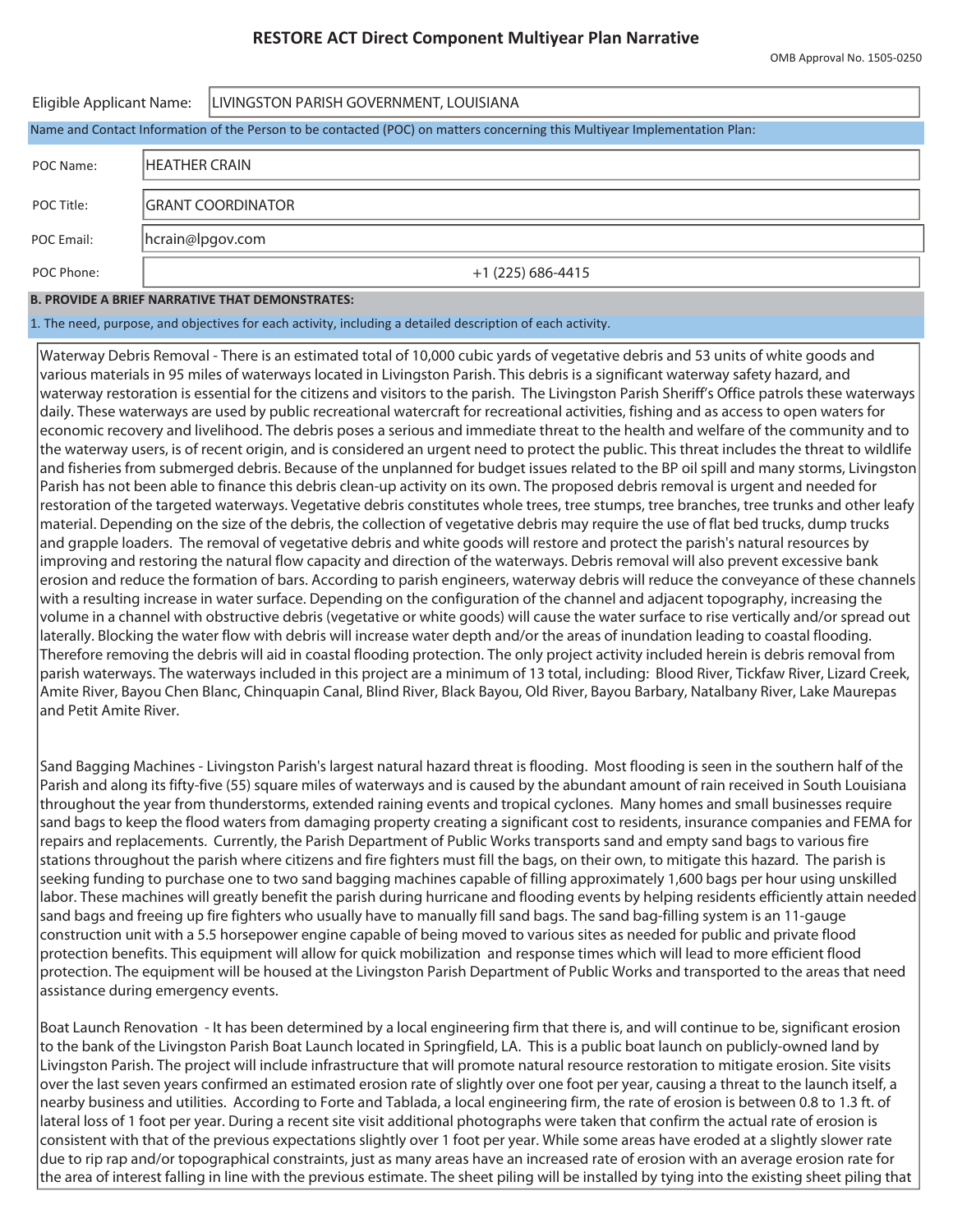| Eligible Applicant Name:                                                                                                   |                    | LIVINGSTON PARISH GOVERNMENT, LOUISIANA |  |  |  |  |  |  |
|----------------------------------------------------------------------------------------------------------------------------|--------------------|-----------------------------------------|--|--|--|--|--|--|
| Name and Contact Information of the Person to be contacted (POC) on matters concerning this Multiyear Implementation Plan: |                    |                                         |  |  |  |  |  |  |
| POC Name:                                                                                                                  | IHEATHER CRAIN     |                                         |  |  |  |  |  |  |
| POC Title:                                                                                                                 | IGRANT COORDINATOR |                                         |  |  |  |  |  |  |
| POC Email:                                                                                                                 | hcrain@lpgov.com   |                                         |  |  |  |  |  |  |
| POC Phone:                                                                                                                 | $+1(225)686-4415$  |                                         |  |  |  |  |  |  |

## **B. PROVIDE A BRIEF NARRATIVE THAT DEMONSTRATES:**

1. The need, purpose, and objectives for each activity, including a detailed description of each activity.

Waterway Debris Removal - There is an estimated total of 10,000 cubic yards of vegetative debris and 53 units of white goods and various materials in 95 miles of waterways located in Livingston Parish. This debris is a significant waterway safety hazard, and waterway restoration is essential for the citizens and visitors to the parish. The Livingston Parish Sheriff's Office patrols these waterways daily. These waterways are used by public recreational watercraft for recreational activities, fishing and as access to open waters for economic recovery and livelihood. The debris poses a serious and immediate threat to the health and welfare of the community and to the waterway users, is of recent origin, and is considered an urgent need to protect the public. This threat includes the threat to wildlife and fisheries from submerged debris. Because of the unplanned for budget issues related to the BP oil spill and many storms, Livingston Parish has not been able to finance this debris clean-up activity on its own. The proposed debris removal is urgent and needed for restoration of the targeted waterways. Vegetative debris constitutes whole trees, tree stumps, tree branches, tree trunks and other leafy material. Depending on the size of the debris, the collection of vegetative debris may require the use of flat bed trucks, dump trucks and grapple loaders. The removal of vegetative debris and white goods will restore and protect the parish's natural resources by improving and restoring the natural flow capacity and direction of the waterways. Debris removal will also prevent excessive bank erosion and reduce the formation of bars. According to parish engineers, waterway debris will reduce the conveyance of these channels with a resulting increase in water surface. Depending on the configuration of the channel and adjacent topography, increasing the volume in a channel with obstructive debris (vegetative or white goods) will cause the water surface to rise vertically and/or spread out laterally. Blocking the water flow with debris will increase water depth and/or the areas of inundation leading to coastal flooding. Therefore removing the debris will aid in coastal flooding protection. The only project activity included herein is debris removal from parish waterways. The waterways included in this project are a minimum of 13 total, including: Blood River, Tickfaw River, Lizard Creek, Amite River, Bayou Chen Blanc, Chinquapin Canal, Blind River, Black Bayou, Old River, Bayou Barbary, Natalbany River, Lake Maurepas and Petit Amite River.

Sand Bagging Machines - Livingston Parish's largest natural hazard threat is flooding. Most flooding is seen in the southern half of the Parish and along its fifty-five (55) square miles of waterways and is caused by the abundant amount of rain received in South Louisiana throughout the year from thunderstorms, extended raining events and tropical cyclones. Many homes and small businesses require sand bags to keep the flood waters from damaging property creating a significant cost to residents, insurance companies and FEMA for repairs and replacements. Currently, the Parish Department of Public Works transports sand and empty sand bags to various fire stations throughout the parish where citizens and fire fighters must fill the bags, on their own, to mitigate this hazard. The parish is seeking funding to purchase one to two sand bagging machines capable of filling approximately 1,600 bags per hour using unskilled labor. These machines will greatly benefit the parish during hurricane and flooding events by helping residents efficiently attain needed sand bags and freeing up fire fighters who usually have to manually fill sand bags. The sand bag-filling system is an 11-gauge construction unit with a 5.5 horsepower engine capable of being moved to various sites as needed for public and private flood protection benefits. This equipment will allow for quick mobilization and response times which will lead to more efficient flood protection. The equipment will be housed at the Livingston Parish Department of Public Works and transported to the areas that need assistance during emergency events.

Boat Launch Renovation - It has been determined by a local engineering firm that there is, and will continue to be, significant erosion to the bank of the Livingston Parish Boat Launch located in Springfield, LA. This is a public boat launch on publicly-owned land by Livingston Parish. The project will include infrastructure that will promote natural resource restoration to mitigate erosion. Site visits over the last seven years confirmed an estimated erosion rate of slightly over one foot per year, causing a threat to the launch itself, a nearby business and utilities. According to Forte and Tablada, a local engineering firm, the rate of erosion is between 0.8 to 1.3 ft. of lateral loss of 1 foot per year. During a recent site visit additional photographs were taken that confirm the actual rate of erosion is consistent with that of the previous expectations slightly over 1 foot per year. While some areas have eroded at a slightly slower rate due to rip rap and/or topographical constraints, just as many areas have an increased rate of erosion with an average erosion rate for the area of interest falling in line with the previous estimate. The sheet piling will be installed by tying into the existing sheet piling that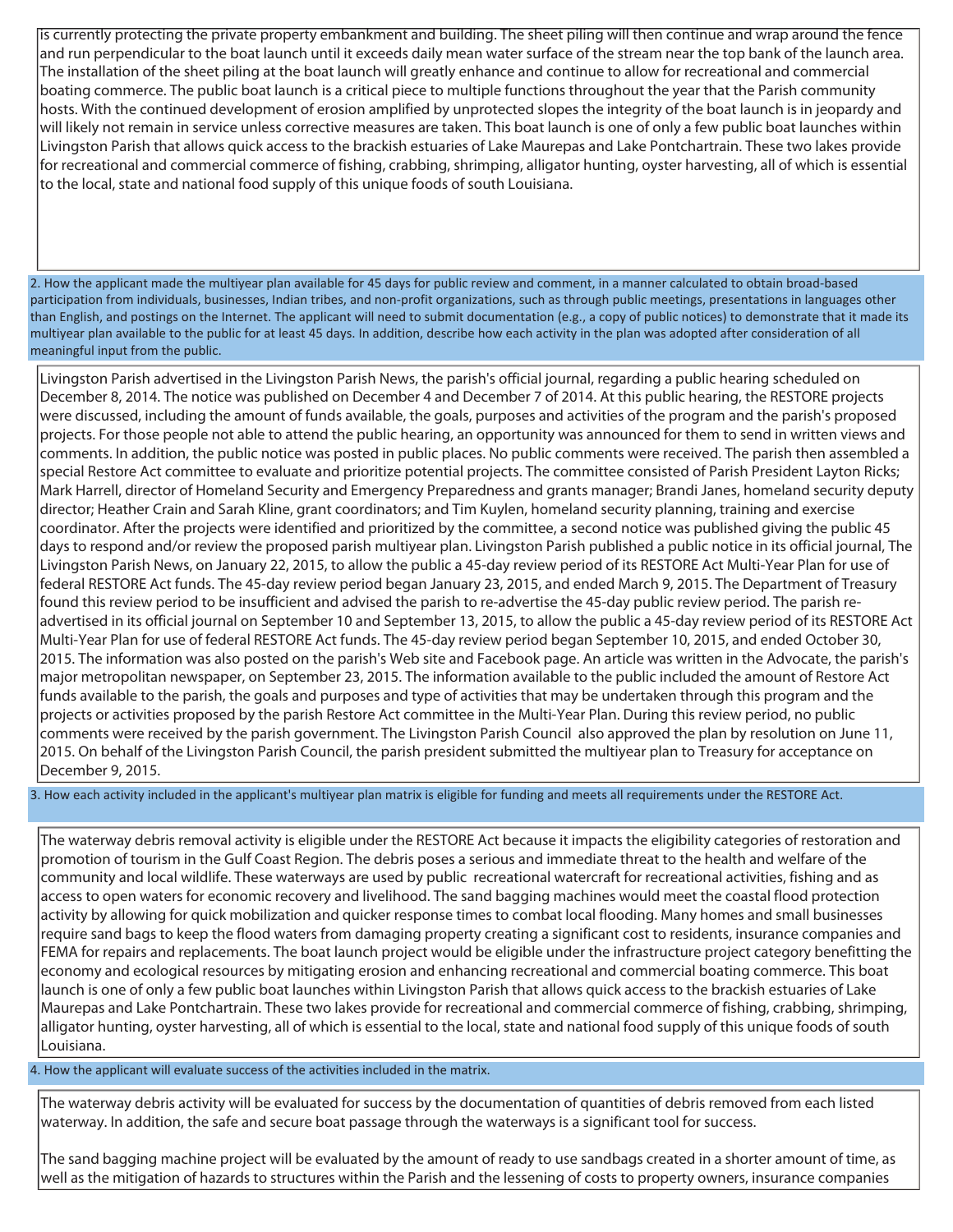is currently protecting the private property embankment and building. The sheet piling will then continue and wrap around the fence and run perpendicular to the boat launch until it exceeds daily mean water surface of the stream near the top bank of the launch area. The installation of the sheet piling at the boat launch will greatly enhance and continue to allow for recreational and commercial boating commerce. The public boat launch is a critical piece to multiple functions throughout the year that the Parish community hosts. With the continued development of erosion amplified by unprotected slopes the integrity of the boat launch is in jeopardy and will likely not remain in service unless corrective measures are taken. This boat launch is one of only a few public boat launches within Livingston Parish that allows quick access to the brackish estuaries of Lake Maurepas and Lake Pontchartrain. These two lakes provide for recreational and commercial commerce of fishing, crabbing, shrimping, alligator hunting, oyster harvesting, all of which is essential to the local, state and national food supply of this unique foods of south Louisiana.

2. How the applicant made the multiyear plan available for 45 days for public review and comment, in a manner calculated to obtain broad-based participation from individuals, businesses, Indian tribes, and non-profit organizations, such as through public meetings, presentations in languages other than English, and postings on the Internet. The applicant will need to submit documentation (e.g., a copy of public notices) to demonstrate that it made its multiyear plan available to the public for at least 45 days. In addition, describe how each activity in the plan was adopted after consideration of all meaningful input from the public.

Livingston Parish advertised in the Livingston Parish News, the parish's official journal, regarding a public hearing scheduled on December 8, 2014. The notice was published on December 4 and December 7 of 2014. At this public hearing, the RESTORE projects were discussed, including the amount of funds available, the goals, purposes and activities of the program and the parish's proposed projects. For those people not able to attend the public hearing, an opportunity was announced for them to send in written views and comments. In addition, the public notice was posted in public places. No public comments were received. The parish then assembled a special Restore Act committee to evaluate and prioritize potential projects. The committee consisted of Parish President Layton Ricks; Mark Harrell, director of Homeland Security and Emergency Preparedness and grants manager; Brandi Janes, homeland security deputy director; Heather Crain and Sarah Kline, grant coordinators; and Tim Kuylen, homeland security planning, training and exercise coordinator. After the projects were identified and prioritized by the committee, a second notice was published giving the public 45 days to respond and/or review the proposed parish multiyear plan. Livingston Parish published a public notice in its official journal, The Livingston Parish News, on January 22, 2015, to allow the public a 45-day review period of its RESTORE Act Multi-Year Plan for use of federal RESTORE Act funds. The 45-day review period began January 23, 2015, and ended March 9, 2015. The Department of Treasury found this review period to be insufficient and advised the parish to re-advertise the 45-day public review period. The parish readvertised in its official journal on September 10 and September 13, 2015, to allow the public a 45-day review period of its RESTORE Act Multi-Year Plan for use of federal RESTORE Act funds. The 45-day review period began September 10, 2015, and ended October 30, 2015. The information was also posted on the parish's Web site and Facebook page. An article was written in the Advocate, the parish's major metropolitan newspaper, on September 23, 2015. The information available to the public included the amount of Restore Act funds available to the parish, the goals and purposes and type of activities that may be undertaken through this program and the projects or activities proposed by the parish Restore Act committee in the Multi-Year Plan. During this review period, no public comments were received by the parish government. The Livingston Parish Council also approved the plan by resolution on June 11, 2015. On behalf of the Livingston Parish Council, the parish president submitted the multiyear plan to Treasury for acceptance on December 9, 2015.

3. How each activity included in the applicant's multiyear plan matrix is eligible for funding and meets all requirements under the RESTORE Act.

The waterway debris removal activity is eligible under the RESTORE Act because it impacts the eligibility categories of restoration and promotion of tourism in the Gulf Coast Region. The debris poses a serious and immediate threat to the health and welfare of the community and local wildlife. These waterways are used by public recreational watercraft for recreational activities, fishing and as access to open waters for economic recovery and livelihood. The sand bagging machines would meet the coastal flood protection activity by allowing for quick mobilization and quicker response times to combat local flooding. Many homes and small businesses require sand bags to keep the flood waters from damaging property creating a significant cost to residents, insurance companies and FEMA for repairs and replacements. The boat launch project would be eligible under the infrastructure project category benefitting the economy and ecological resources by mitigating erosion and enhancing recreational and commercial boating commerce. This boat launch is one of only a few public boat launches within Livingston Parish that allows quick access to the brackish estuaries of Lake Maurepas and Lake Pontchartrain. These two lakes provide for recreational and commercial commerce of fishing, crabbing, shrimping, alligator hunting, oyster harvesting, all of which is essential to the local, state and national food supply of this unique foods of south Louisiana.

4. How the applicant will evaluate success of the activities included in the matrix.

The waterway debris activity will be evaluated for success by the documentation of quantities of debris removed from each listed waterway. In addition, the safe and secure boat passage through the waterways is a significant tool for success.

The sand bagging machine project will be evaluated by the amount of ready to use sandbags created in a shorter amount of time, as well as the mitigation of hazards to structures within the Parish and the lessening of costs to property owners, insurance companies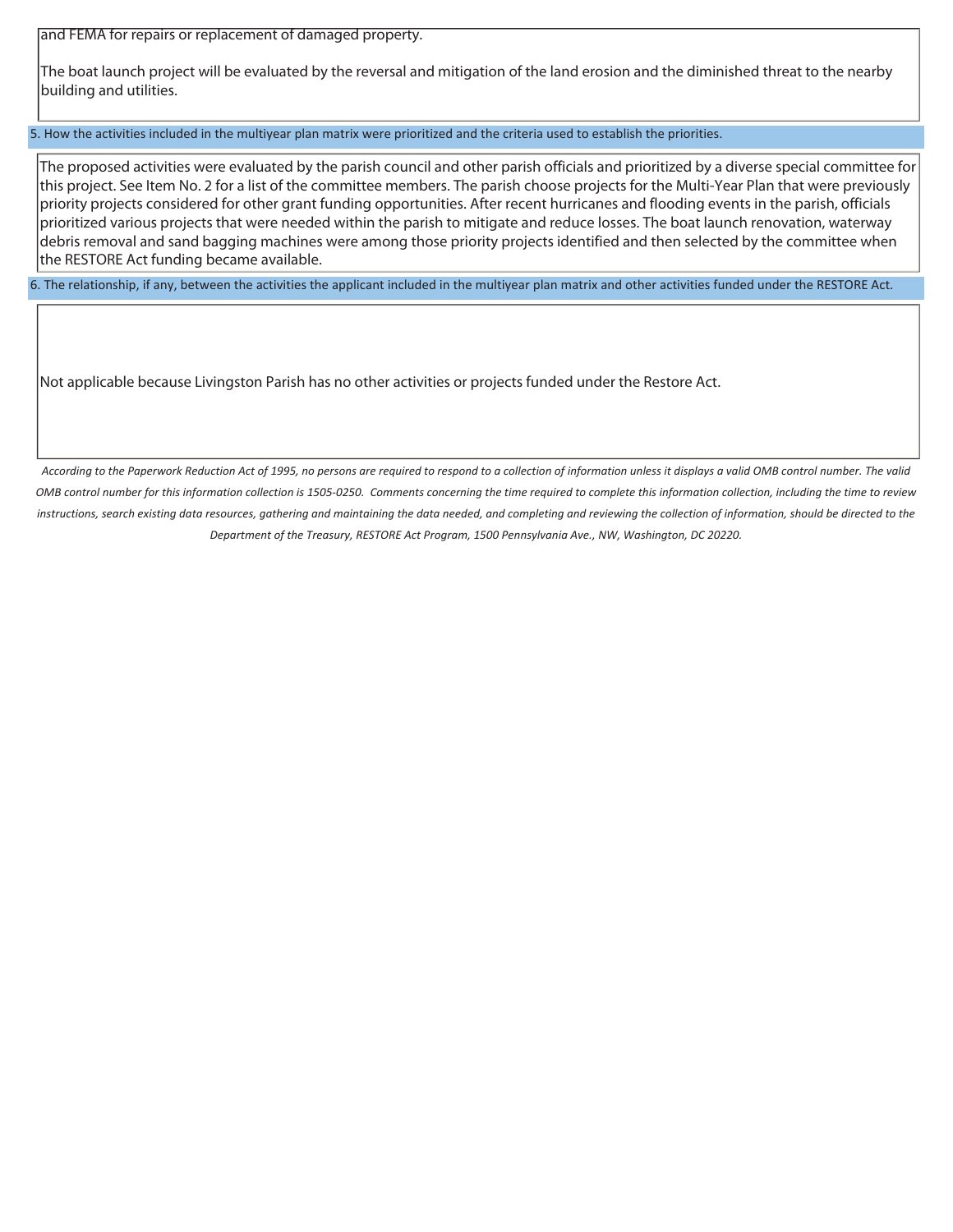and FEMA for repairs or replacement of damaged property.

The boat launch project will be evaluated by the reversal and mitigation of the land erosion and the diminished threat to the nearby building and utilities.

5. How the activities included in the multiyear plan matrix were prioritized and the criteria used to establish the priorities.

The proposed activities were evaluated by the parish council and other parish officials and prioritized by a diverse special committee for this project. See Item No. 2 for a list of the committee members. The parish choose projects for the Multi-Year Plan that were previously priority projects considered for other grant funding opportunities. After recent hurricanes and flooding events in the parish, officials prioritized various projects that were needed within the parish to mitigate and reduce losses. The boat launch renovation, waterway debris removal and sand bagging machines were among those priority projects identified and then selected by the committee when the RESTORE Act funding became available.

6. The relationship, if any, between the activities the applicant included in the multiyear plan matrix and other activities funded under the RESTORE Act.

Not applicable because Livingston Parish has no other activities or projects funded under the Restore Act.

*According to the Paperwork Reduction Act of 1995, no persons are required to respond to a collection of information unless it displays a valid OMB control number. The valid OMB control number for this information collection is 1505-0250. Comments concerning the time required to complete this information collection, including the time to review*  instructions, search existing data resources, gathering and maintaining the data needed, and completing and reviewing the collection of information, should be directed to the *Department of the Treasury, RESTORE Act Program, 1500 Pennsylvania Ave., NW, Washington, DC 20220.*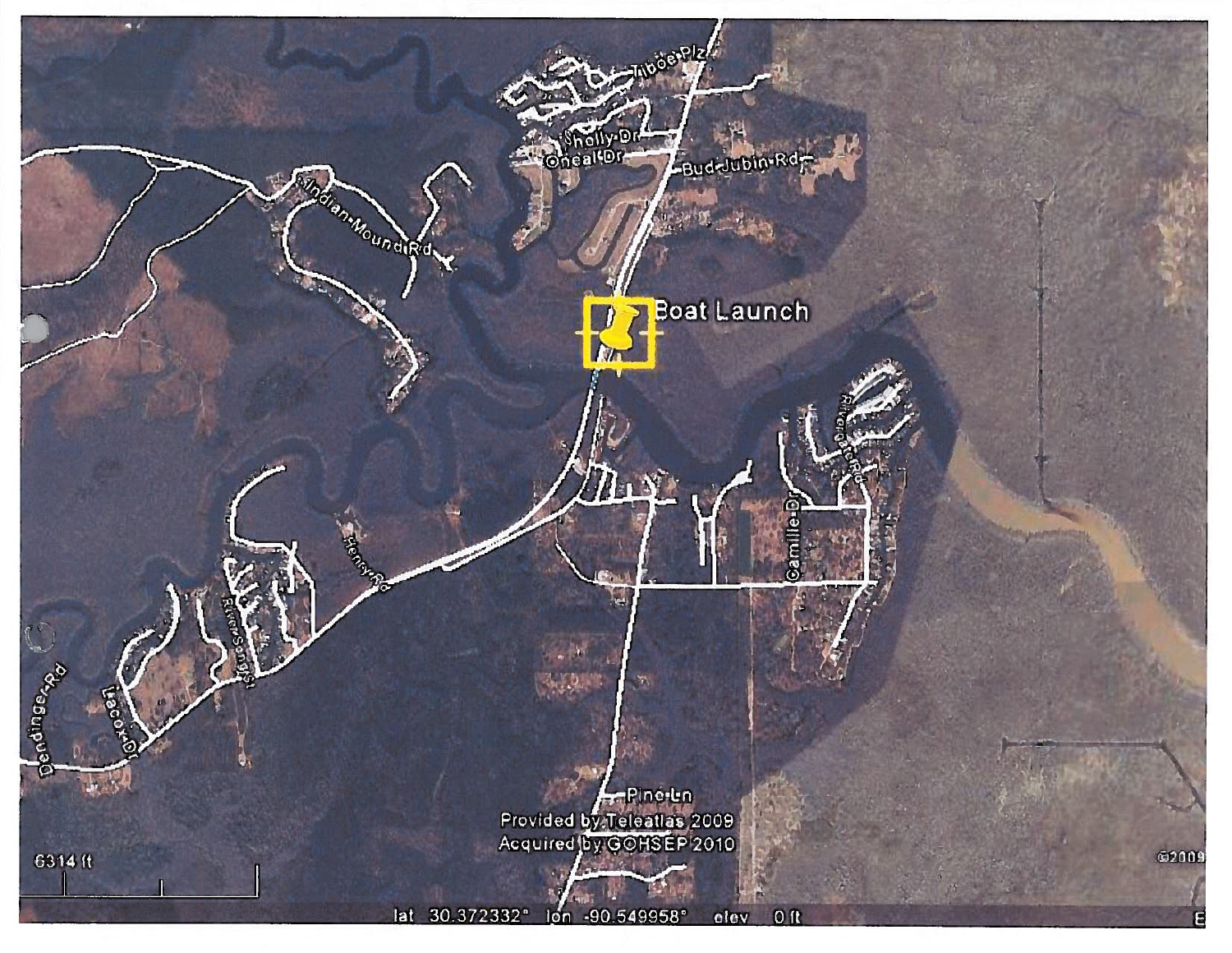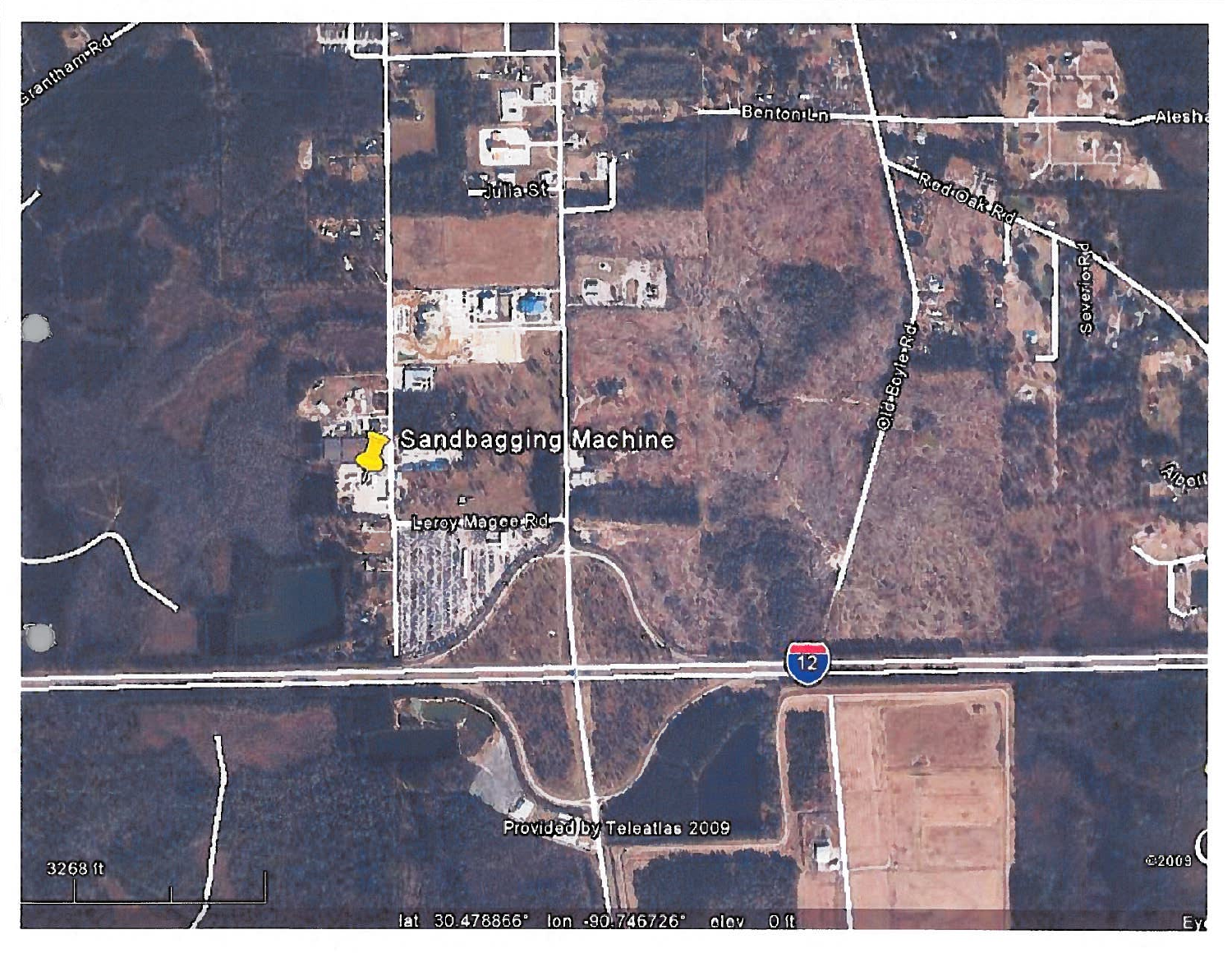